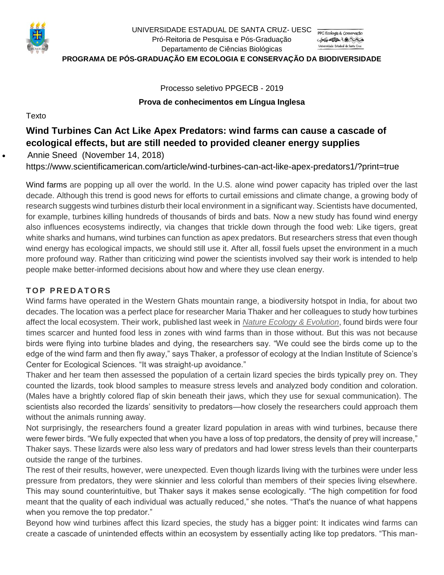

UNIVERSIDADE ESTADUAL DE SANTA CRUZ- UESC Pró-Reitoria de Pesquisa e Pós-Graduação CENTAL A Universidade Estadual de Santa Cruz Departamento de Ciências Biológicas **PROGRAMA DE PÓS-GRADUAÇÃO EM ECOLOGIA E CONSERVAÇÃO DA BIODIVERSIDADE**

> Processo seletivo PPGECB - 2019 **Prova de conhecimentos em Língua Inglesa**

**Texto** 

# **Wind Turbines Can Act Like Apex Predators: wind farms can cause a cascade of ecological effects, but are still needed to provided cleaner energy supplies**

• [Annie Sneed](https://www.scientificamerican.com/author/annie-sneed/) (November 14, 2018)

https://www.scientificamerican.com/article/wind-turbines-can-act-like-apex-predators1/?print=true

Wind farms are popping up all over the world. In the U.S. alone wind power capacity has tripled over the last decade. Although this trend is good news for efforts to curtail emissions and climate change, a growing body of research suggests wind turbines disturb their local environment in a significant way. Scientists have documented, for example, turbines killing hundreds of thousands of birds and bats. Now a new study has found wind energy also influences ecosystems indirectly, via changes that trickle down through the food web: Like tigers, great white sharks and humans, wind turbines can function as apex predators. But researchers stress that even though wind energy has ecological impacts, we should still use it. After all, fossil fuels upset the environment in a much more profound way. Rather than criticizing wind power the scientists involved say their work is intended to help people make better-informed decisions about how and where they use clean energy.

## **TOP PREDATORS**

Wind farms have operated in the Western Ghats mountain range, a biodiversity hotspot in India, for about two decades. The location was a perfect place for researcher Maria Thaker and her colleagues to study how turbines affect the local ecosystem. Their work, published last week in *Nature Ecology & [Evolution](https://www.nature.com/articles/s41559-018-0707-z)*, found birds were four times scarcer and hunted food less in zones with wind farms than in those without. But this was not because birds were flying into turbine blades and dying, the researchers say. "We could see the birds come up to the edge of the wind farm and then fly away," says Thaker, a professor of ecology at the Indian Institute of Science's Center for Ecological Sciences. "It was straight-up avoidance."

Thaker and her team then assessed the population of a certain lizard species the birds typically prey on. They counted the lizards, took blood samples to measure stress levels and analyzed body condition and coloration. (Males have a brightly colored flap of skin beneath their jaws, which they use for sexual communication). The scientists also recorded the lizards' sensitivity to predators—how closely the researchers could approach them without the animals running away.

Not surprisingly, the researchers found a greater lizard population in areas with wind turbines, because there were fewer birds. "We fully expected that when you have a loss of top predators, the density of prey will increase," Thaker says. These lizards were also less wary of predators and had lower stress levels than their counterparts outside the range of the turbines.

The rest of their results, however, were unexpected. Even though lizards living with the turbines were under less pressure from predators, they were skinnier and less colorful than members of their species living elsewhere. This may sound counterintuitive, but Thaker says it makes sense ecologically. "The high competition for food meant that the quality of each individual was actually reduced," she notes. "That's the nuance of what happens when you remove the top predator."

Beyond how wind turbines affect this lizard species, the study has a bigger point: It indicates wind farms can create a cascade of unintended effects within an ecosystem by essentially acting like top predators. "This man-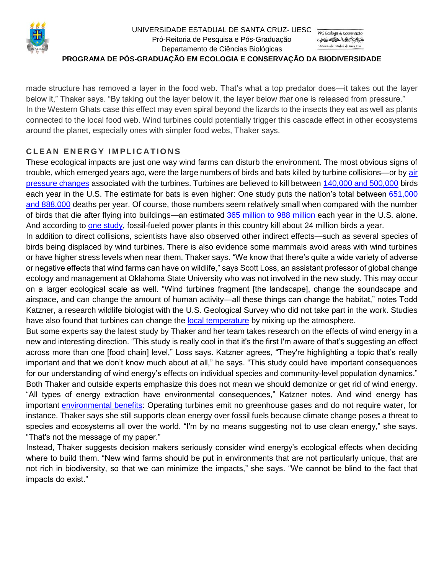

#### UNIVERSIDADE ESTADUAL DE SANTA CRUZ- UESC Pró-Reitoria de Pesquisa e Pós-Graduação CSEALLA A PORT Universidade Estadual de Santa Cruz Departamento de Ciências Biológicas **PROGRAMA DE PÓS-GRADUAÇÃO EM ECOLOGIA E CONSERVAÇÃO DA BIODIVERSIDADE**

made structure has removed a layer in the food web. That's what a top predator does—it takes out the layer below it," Thaker says. "By taking out the layer below it, the layer below *that* one is released from pressure." In the Western Ghats case this effect may even spiral beyond the lizards to the insects they eat as well as plants connected to the local food web. Wind turbines could potentially trigger this cascade effect in other ecosystems around the planet, especially ones with simpler food webs, Thaker says.

## **C L E AN E N E R G Y I M P L I C A T I O N S**

These ecological impacts are just one way wind farms can disturb the environment. The most obvious signs of trouble, which emerged years ago, were the large numbers of birds and bats killed by turbine collisions—or by [air](https://www.scientificamerican.com/article/wind-turbines-kill-bats/)  [pressure changes](https://www.scientificamerican.com/article/wind-turbines-kill-bats/) associated with the turbines. Turbines are believed to kill between [140,000 and 500,000](https://www.fws.gov/birds/bird-enthusiasts/threats-to-birds/collisions/wind-turbines.php) birds each year in the U.S. The estimate for bats is even higher: One study puts the nation's total between [651,000](https://wildlife.onlinelibrary.wiley.com/doi/abs/10.1002/wsb.260)  [and 888,000](https://wildlife.onlinelibrary.wiley.com/doi/abs/10.1002/wsb.260) deaths per year. Of course, those numbers seem relatively small when compared with the number of birds that die after flying into buildings—an estimated [365 million to 988 million](https://www.fws.gov/birds/bird-enthusiasts/threats-to-birds/collisions/buildings-and-glass.php) each year in the U.S. alone. And according to [one study,](https://www.tandfonline.com/doi/pdf/10.1080/1943815X.2012.746993) fossil-fueled power plants in this country kill about 24 million birds a year.

In addition to direct collisions, scientists have also observed other indirect effects—such as several species of birds being displaced by wind turbines. There is also evidence some mammals avoid areas with wind turbines or have higher stress levels when near them, Thaker says. "We know that there's quite a wide variety of adverse or negative effects that wind farms can have on wildlife," says Scott Loss, an assistant professor of global change ecology and management at Oklahoma State University who was not involved in the new study. This may occur on a larger ecological scale as well. "Wind turbines fragment [the landscape], change the soundscape and airspace, and can change the amount of human activity—all these things can change the habitat," notes Todd Katzner, a research wildlife biologist with the U.S. Geological Survey who did not take part in the work. Studies have also found that turbines can change the [local temperature](https://www.scientificamerican.com/article/how-wind-turbines-affect-temperature/) by mixing up the atmosphere.

But some experts say the latest study by Thaker and her team takes research on the effects of wind energy in a new and interesting direction. "This study is really cool in that it's the first I'm aware of that's suggesting an effect across more than one [food chain] level," Loss says. Katzner agrees, "They're highlighting a topic that's really important and that we don't know much about at all," he says. "This study could have important consequences for our understanding of wind energy's effects on individual species and community-level population dynamics." Both Thaker and outside experts emphasize this does not mean we should demonize or get rid of wind energy. "All types of energy extraction have environmental consequences," Katzner notes. And wind energy has important [environmental benefits:](https://www.ucsusa.org/clean-energy/renewable-energy/environmental-impacts-wind-power#.W-BvqS-ZOkY) Operating turbines emit no greenhouse gases and do not require water, for instance. Thaker says she still supports clean energy over fossil fuels because climate change poses a threat to species and ecosystems all over the world. "I'm by no means suggesting not to use clean energy," she says.

"That's not the message of my paper."

Instead, Thaker suggests decision makers seriously consider wind energy's ecological effects when deciding where to build them. "New wind farms should be put in environments that are not particularly unique, that are not rich in biodiversity, so that we can minimize the impacts," she says. "We cannot be blind to the fact that impacts do exist."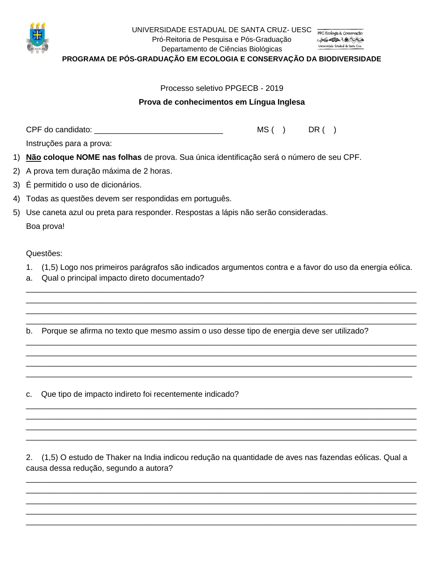

UNIVERSIDADE ESTADUAL DE SANTA CRUZ- UESC Pró-Reitoria de Pesquisa e Pós-Graduação

一番地小島大会 Universidade Estadual de Santa Cruz

Departamento de Ciências Biológicas **PROGRAMA DE PÓS-GRADUAÇÃO EM ECOLOGIA E CONSERVAÇÃO DA BIODIVERSIDADE**

### Processo seletivo PPGECB - 2019

#### **Prova de conhecimentos em Língua Inglesa**

CPF do candidato: \_\_\_\_\_\_\_\_\_\_\_\_\_\_\_\_\_\_\_\_\_\_\_\_\_\_\_\_\_ MS ( ) DR ( )

Instruções para a prova:

- 1) **Não coloque NOME nas folhas** de prova. Sua única identificação será o número de seu CPF.
- 2) A prova tem duração máxima de 2 horas.
- 3) É permitido o uso de dicionários.
- 4) Todas as questões devem ser respondidas em português.
- 5) Use caneta azul ou preta para responder. Respostas a lápis não serão consideradas.

Boa prova!

Questões:

1. (1,5) Logo nos primeiros parágrafos são indicados argumentos contra e a favor do uso da energia eólica.

\_\_\_\_\_\_\_\_\_\_\_\_\_\_\_\_\_\_\_\_\_\_\_\_\_\_\_\_\_\_\_\_\_\_\_\_\_\_\_\_\_\_\_\_\_\_\_\_\_\_\_\_\_\_\_\_\_\_\_\_\_\_\_\_\_\_\_\_\_\_\_\_\_\_\_\_\_\_\_\_\_\_\_\_\_\_\_\_ \_\_\_\_\_\_\_\_\_\_\_\_\_\_\_\_\_\_\_\_\_\_\_\_\_\_\_\_\_\_\_\_\_\_\_\_\_\_\_\_\_\_\_\_\_\_\_\_\_\_\_\_\_\_\_\_\_\_\_\_\_\_\_\_\_\_\_\_\_\_\_\_\_\_\_\_\_\_\_\_\_\_\_\_\_\_\_\_ \_\_\_\_\_\_\_\_\_\_\_\_\_\_\_\_\_\_\_\_\_\_\_\_\_\_\_\_\_\_\_\_\_\_\_\_\_\_\_\_\_\_\_\_\_\_\_\_\_\_\_\_\_\_\_\_\_\_\_\_\_\_\_\_\_\_\_\_\_\_\_\_\_\_\_\_\_\_\_\_\_\_\_\_\_\_\_\_ \_\_\_\_\_\_\_\_\_\_\_\_\_\_\_\_\_\_\_\_\_\_\_\_\_\_\_\_\_\_\_\_\_\_\_\_\_\_\_\_\_\_\_\_\_\_\_\_\_\_\_\_\_\_\_\_\_\_\_\_\_\_\_\_\_\_\_\_\_\_\_\_\_\_\_\_\_\_\_\_\_\_\_\_\_\_\_\_

\_\_\_\_\_\_\_\_\_\_\_\_\_\_\_\_\_\_\_\_\_\_\_\_\_\_\_\_\_\_\_\_\_\_\_\_\_\_\_\_\_\_\_\_\_\_\_\_\_\_\_\_\_\_\_\_\_\_\_\_\_\_\_\_\_\_\_\_\_\_\_\_\_\_\_\_\_\_\_\_\_\_\_\_\_\_\_\_ \_\_\_\_\_\_\_\_\_\_\_\_\_\_\_\_\_\_\_\_\_\_\_\_\_\_\_\_\_\_\_\_\_\_\_\_\_\_\_\_\_\_\_\_\_\_\_\_\_\_\_\_\_\_\_\_\_\_\_\_\_\_\_\_\_\_\_\_\_\_\_\_\_\_\_\_\_\_\_\_\_\_\_\_\_\_\_\_ \_\_\_\_\_\_\_\_\_\_\_\_\_\_\_\_\_\_\_\_\_\_\_\_\_\_\_\_\_\_\_\_\_\_\_\_\_\_\_\_\_\_\_\_\_\_\_\_\_\_\_\_\_\_\_\_\_\_\_\_\_\_\_\_\_\_\_\_\_\_\_\_\_\_\_\_\_\_\_\_\_\_\_\_\_\_\_\_ \_\_\_\_\_\_\_\_\_\_\_\_\_\_\_\_\_\_\_\_\_\_\_\_\_\_\_\_\_\_\_\_\_\_\_\_\_\_\_\_\_\_\_\_\_\_\_\_\_\_\_\_\_\_\_\_\_\_\_\_\_\_\_\_\_\_\_\_\_\_\_\_\_\_\_\_\_\_\_\_\_\_\_\_\_\_\_

\_\_\_\_\_\_\_\_\_\_\_\_\_\_\_\_\_\_\_\_\_\_\_\_\_\_\_\_\_\_\_\_\_\_\_\_\_\_\_\_\_\_\_\_\_\_\_\_\_\_\_\_\_\_\_\_\_\_\_\_\_\_\_\_\_\_\_\_\_\_\_\_\_\_\_\_\_\_\_\_\_\_\_\_\_\_\_\_ \_\_\_\_\_\_\_\_\_\_\_\_\_\_\_\_\_\_\_\_\_\_\_\_\_\_\_\_\_\_\_\_\_\_\_\_\_\_\_\_\_\_\_\_\_\_\_\_\_\_\_\_\_\_\_\_\_\_\_\_\_\_\_\_\_\_\_\_\_\_\_\_\_\_\_\_\_\_\_\_\_\_\_\_\_\_\_\_ \_\_\_\_\_\_\_\_\_\_\_\_\_\_\_\_\_\_\_\_\_\_\_\_\_\_\_\_\_\_\_\_\_\_\_\_\_\_\_\_\_\_\_\_\_\_\_\_\_\_\_\_\_\_\_\_\_\_\_\_\_\_\_\_\_\_\_\_\_\_\_\_\_\_\_\_\_\_\_\_\_\_\_\_\_\_\_\_ \_\_\_\_\_\_\_\_\_\_\_\_\_\_\_\_\_\_\_\_\_\_\_\_\_\_\_\_\_\_\_\_\_\_\_\_\_\_\_\_\_\_\_\_\_\_\_\_\_\_\_\_\_\_\_\_\_\_\_\_\_\_\_\_\_\_\_\_\_\_\_\_\_\_\_\_\_\_\_\_\_\_\_\_\_\_\_\_

- a. Qual o principal impacto direto documentado?
- b. Porque se afirma no texto que mesmo assim o uso desse tipo de energia deve ser utilizado?

c. Que tipo de impacto indireto foi recentemente indicado?

2. (1,5) O estudo de Thaker na India indicou redução na quantidade de aves nas fazendas eólicas. Qual a causa dessa redução, segundo a autora?

\_\_\_\_\_\_\_\_\_\_\_\_\_\_\_\_\_\_\_\_\_\_\_\_\_\_\_\_\_\_\_\_\_\_\_\_\_\_\_\_\_\_\_\_\_\_\_\_\_\_\_\_\_\_\_\_\_\_\_\_\_\_\_\_\_\_\_\_\_\_\_\_\_\_\_\_\_\_\_\_\_\_\_\_\_\_\_\_ \_\_\_\_\_\_\_\_\_\_\_\_\_\_\_\_\_\_\_\_\_\_\_\_\_\_\_\_\_\_\_\_\_\_\_\_\_\_\_\_\_\_\_\_\_\_\_\_\_\_\_\_\_\_\_\_\_\_\_\_\_\_\_\_\_\_\_\_\_\_\_\_\_\_\_\_\_\_\_\_\_\_\_\_\_\_\_\_ \_\_\_\_\_\_\_\_\_\_\_\_\_\_\_\_\_\_\_\_\_\_\_\_\_\_\_\_\_\_\_\_\_\_\_\_\_\_\_\_\_\_\_\_\_\_\_\_\_\_\_\_\_\_\_\_\_\_\_\_\_\_\_\_\_\_\_\_\_\_\_\_\_\_\_\_\_\_\_\_\_\_\_\_\_\_\_\_ \_\_\_\_\_\_\_\_\_\_\_\_\_\_\_\_\_\_\_\_\_\_\_\_\_\_\_\_\_\_\_\_\_\_\_\_\_\_\_\_\_\_\_\_\_\_\_\_\_\_\_\_\_\_\_\_\_\_\_\_\_\_\_\_\_\_\_\_\_\_\_\_\_\_\_\_\_\_\_\_\_\_\_\_\_\_\_\_ \_\_\_\_\_\_\_\_\_\_\_\_\_\_\_\_\_\_\_\_\_\_\_\_\_\_\_\_\_\_\_\_\_\_\_\_\_\_\_\_\_\_\_\_\_\_\_\_\_\_\_\_\_\_\_\_\_\_\_\_\_\_\_\_\_\_\_\_\_\_\_\_\_\_\_\_\_\_\_\_\_\_\_\_\_\_\_\_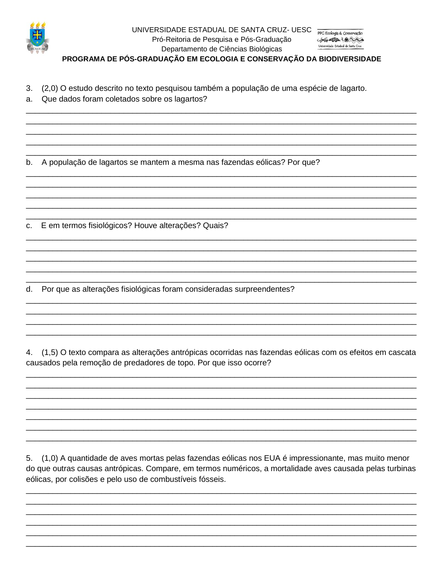

## UNIVERSIDADE ESTADUAL DE SANTA CRUZ- UESC PPG Ecologia & Conservação Pró-Reitoria de Pesquisa e Pós-Graduação Departamento de Ciências Biológicas

PROGRAMA DE PÓS-GRADUAÇÃO EM ECOLOGIA E CONSERVAÇÃO DA BIODIVERSIDADE

- (2,0) O estudo descrito no texto pesquisou também a população de uma espécie de lagarto. 3.
- Que dados foram coletados sobre os lagartos? a.

A população de lagartos se mantem a mesma nas fazendas eólicas? Por que? b.

E em termos fisiológicos? Houve alterações? Quais? C.

Por que as alterações fisiológicas foram consideradas surpreendentes? d.

(1,5) O texto compara as alterações antrópicas ocorridas nas fazendas eólicas com os efeitos em cascata 4. causados pela remoção de predadores de topo. Por que isso ocorre?

5. (1,0) A quantidade de aves mortas pelas fazendas eólicas nos EUA é impressionante, mas muito menor do que outras causas antrópicas. Compare, em termos numéricos, a mortalidade aves causada pelas turbinas eólicas, por colisões e pelo uso de combustíveis fósseis.